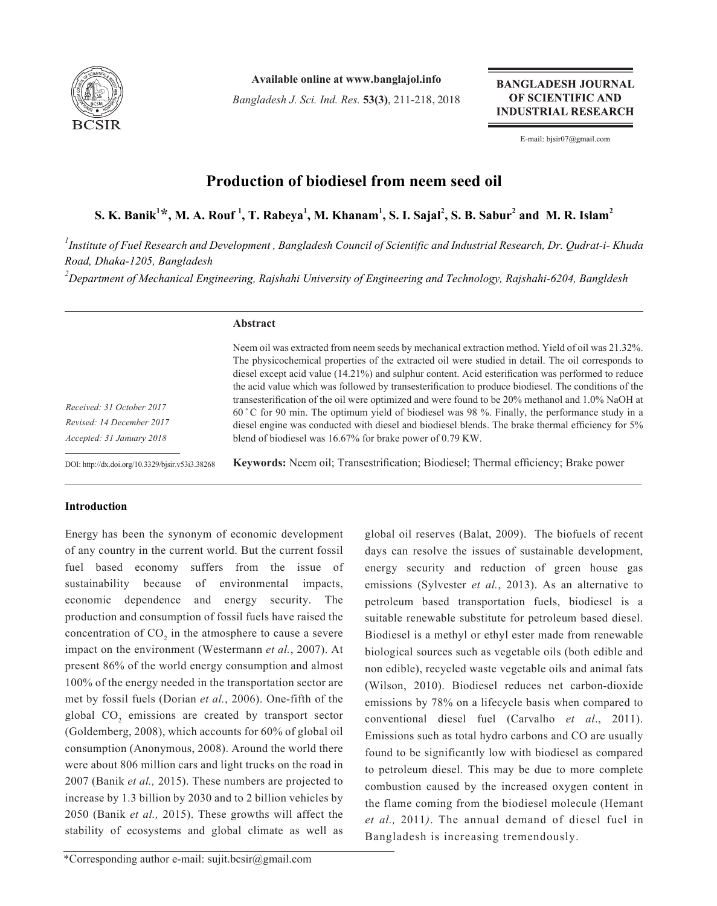

**Available online at www.banglajol.info**

*Bangladesh J. Sci. Ind. Res.* **53(3)**, 211-218, 2018

**BANGLADESH JOURNAL** OF SCIENTIFIC AND **INDUSTRIAL RESEARCH** 

E-mail: bjsir07@gmail.com

# **Production of biodiesel from neem seed oil**

**S. K. Banik<sup>1</sup> \*, M. A. Rouf 1 , T. Rabeya<sup>1</sup> , M. Khanam1 , S. I. Sajal<sup>2</sup> , S. B. Sabur<sup>2</sup> and M. R. Islam<sup>2</sup>**

*1 Institute of Fuel Research and Development , Bangladesh Council of Scientific and Industrial Research, Dr. Qudrat-i- Khuda Road, Dhaka-1205, Bangladesh 2 Department of Mechanical Engineering, Rajshahi University of Engineering and Technology, Rajshahi-6204, Bangldesh*

# **Abstract**

*Received: 31 October 2017 Revised: 14 December 2017 Accepted: 31 January 2018*

DOI: http://dx.doi.org/10.3329/bjsir.v53i3.38268

diesel except acid value (14.21%) and sulphur content. Acid esterification was performed to reduce the acid value which was followed by transesterification to produce biodiesel. The conditions of the transesterification of the oil were optimized and were found to be 20% methanol and 1.0% NaOH at 60 ̊ C for 90 min. The optimum yield of biodiesel was 98 %. Finally, the performance study in a diesel engine was conducted with diesel and biodiesel blends. The brake thermal efficiency for 5% blend of biodiesel was 16.67% for brake power of 0.79 KW.

Neem oil was extracted from neem seeds by mechanical extraction method. Yield of oil was 21.32%. The physicochemical properties of the extracted oil were studied in detail. The oil corresponds to

**Keywords:** Neem oil; Transestrification; Biodiesel; Thermal efficiency; Brake power

# **Introduction**

Energy has been the synonym of economic development of any country in the current world. But the current fossil fuel based economy suffers from the issue of sustainability because of environmental impacts, economic dependence and energy security. The production and consumption of fossil fuels have raised the concentration of  $CO_2$  in the atmosphere to cause a severe impact on the environment (Westermann *et al.*, 2007). At present 86% of the world energy consumption and almost 100% of the energy needed in the transportation sector are met by fossil fuels (Dorian *et al.*, 2006). One-fifth of the global  $CO_2$  emissions are created by transport sector (Goldemberg, 2008), which accounts for 60% of global oil consumption (Anonymous, 2008). Around the world there were about 806 million cars and light trucks on the road in 2007 (Banik *et al.,* 2015). These numbers are projected to increase by 1.3 billion by 2030 and to 2 billion vehicles by 2050 (Banik *et al.,* 2015). These growths will affect the stability of ecosystems and global climate as well as

global oil reserves (Balat, 2009). The biofuels of recent days can resolve the issues of sustainable development, energy security and reduction of green house gas emissions (Sylvester *et al.*, 2013). As an alternative to petroleum based transportation fuels, biodiesel is a suitable renewable substitute for petroleum based diesel. Biodiesel is a methyl or ethyl ester made from renewable biological sources such as vegetable oils (both edible and non edible), recycled waste vegetable oils and animal fats (Wilson, 2010). Biodiesel reduces net carbon-dioxide emissions by 78% on a lifecycle basis when compared to conventional diesel fuel (Carvalho *et al*., 2011). Emissions such as total hydro carbons and CO are usually found to be significantly low with biodiesel as compared to petroleum diesel. This may be due to more complete combustion caused by the increased oxygen content in the flame coming from the biodiesel molecule (Hemant *et al.,* 2011*)*. The annual demand of diesel fuel in Bangladesh is increasing tremendously.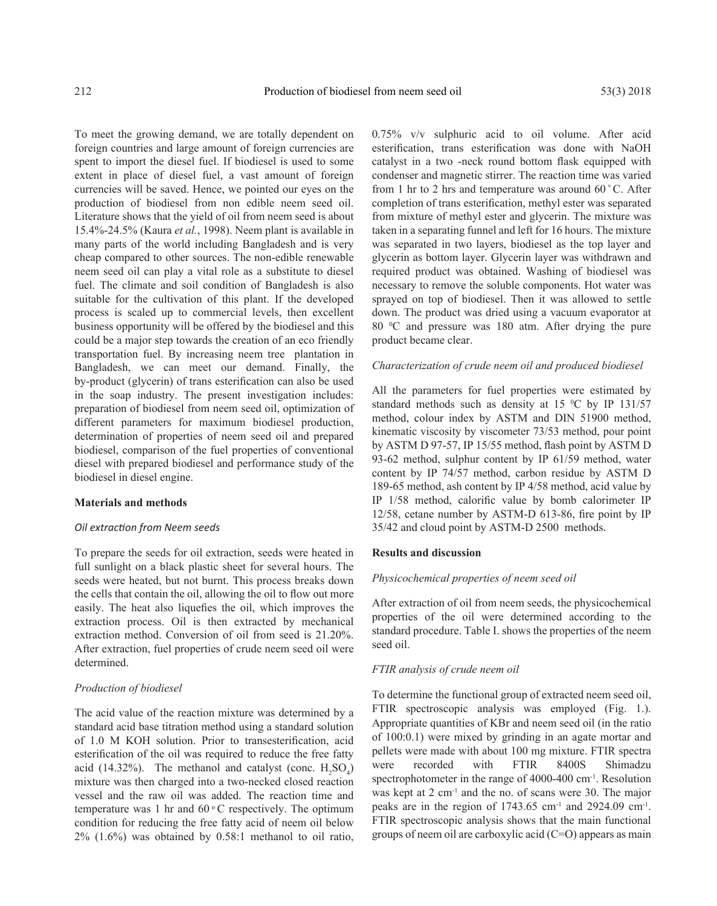To meet the growing demand, we are totally dependent on foreign countries and large amount of foreign currencies are spent to import the diesel fuel. If biodiesel is used to some extent in place of diesel fuel, a vast amount of foreign currencies will be saved. Hence, we pointed our eyes on the production of biodiesel from non edible neem seed oil. Literature shows that the yield of oil from neem seed is about 15.4%-24.5% (Kaura *et al.*, 1998). Neem plant is available in many parts of the world including Bangladesh and is very cheap compared to other sources. The non-edible renewable neem seed oil can play a vital role as a substitute to diesel fuel. The climate and soil condition of Bangladesh is also suitable for the cultivation of this plant. If the developed process is scaled up to commercial levels, then excellent business opportunity will be offered by the biodiesel and this could be a major step towards the creation of an eco friendly transportation fuel. By increasing neem tree plantation in Bangladesh, we can meet our demand. Finally, the by-product (glycerin) of trans esterification can also be used in the soap industry. The present investigation includes: preparation of biodiesel from neem seed oil, optimization of different parameters for maximum biodiesel production, determination of properties of neem seed oil and prepared biodiesel, comparison of the fuel properties of conventional diesel with prepared biodiesel and performance study of the biodiesel in diesel engine.

## **Materials and methods**

## *Oil extraction from Neem seeds*

To prepare the seeds for oil extraction, seeds were heated in full sunlight on a black plastic sheet for several hours. The seeds were heated, but not burnt. This process breaks down the cells that contain the oil, allowing the oil to flow out more easily. The heat also liquefies the oil, which improves the extraction process. Oil is then extracted by mechanical extraction method. Conversion of oil from seed is 21.20%. After extraction, fuel properties of crude neem seed oil were determined.

#### *Production of biodiesel*

The acid value of the reaction mixture was determined by a standard acid base titration method using a standard solution of 1.0 M KOH solution. Prior to transesterification, acid esterification of the oil was required to reduce the free fatty acid (14.32%). The methanol and catalyst (conc.  $H_2SO_4$ ) mixture was then charged into a two-necked closed reaction vessel and the raw oil was added. The reaction time and temperature was 1 hr and  $60^{\circ}$ C respectively. The optimum condition for reducing the free fatty acid of neem oil below  $2\%$  (1.6%) was obtained by 0.58:1 methanol to oil ratio,

0.75% v/v sulphuric acid to oil volume. After acid esterification, trans esterification was done with NaOH catalyst in a two -neck round bottom flask equipped with condenser and magnetic stirrer. The reaction time was varied from 1 hr to 2 hrs and temperature was around 60 ̊ C. After completion of trans esterification, methyl ester was separated from mixture of methyl ester and glycerin. The mixture was taken in a separating funnel and left for 16 hours. The mixture was separated in two layers, biodiesel as the top layer and glycerin as bottom layer. Glycerin layer was withdrawn and required product was obtained. Washing of biodiesel was necessary to remove the soluble components. Hot water was sprayed on top of biodiesel. Then it was allowed to settle down. The product was dried using a vacuum evaporator at 80 0 C and pressure was 180 atm. After drying the pure product became clear.

## *Characterization of crude neem oil and produced biodiesel*

All the parameters for fuel properties were estimated by standard methods such as density at  $15\text{ °C}$  by IP 131/57 method, colour index by ASTM and DIN 51900 method, kinematic viscosity by viscometer 73/53 method, pour point by ASTM D 97-57, IP 15/55 method, flash point by ASTM D 93-62 method, sulphur content by IP 61/59 method, water content by IP 74/57 method, carbon residue by ASTM D 189-65 method, ash content by IP 4/58 method, acid value by IP 1/58 method, calorific value by bomb calorimeter IP 12/58, cetane number by ASTM-D 613-86, fire point by IP 35/42 and cloud point by ASTM-D 2500 methods.

### **Results and discussion**

# *Physicochemical properties of neem seed oil*

After extraction of oil from neem seeds, the physicochemical properties of the oil were determined according to the standard procedure. Table I. shows the properties of the neem seed oil.

#### *FTIR analysis of crude neem oil*

To determine the functional group of extracted neem seed oil, FTIR spectroscopic analysis was employed (Fig. 1.). Appropriate quantities of KBr and neem seed oil (in the ratio of 100:0.1) were mixed by grinding in an agate mortar and pellets were made with about 100 mg mixture. FTIR spectra were recorded with FTIR 8400S Shimadzu spectrophotometer in the range of 4000-400 cm<sup>-1</sup>. Resolution was kept at 2 cm<sup>-1</sup> and the no. of scans were 30. The major peaks are in the region of  $1743.65$  cm<sup>-1</sup> and  $2924.09$  cm<sup>-1</sup>. FTIR spectroscopic analysis shows that the main functional groups of neem oil are carboxylic acid (C=O) appears as main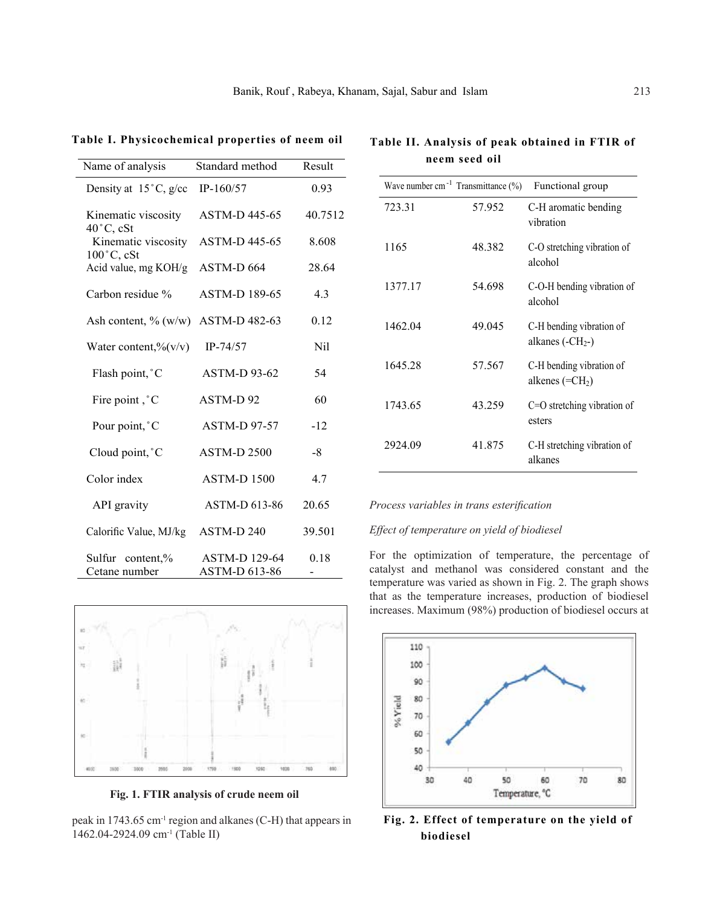| Name of analysis                            | Standard method                       | Result  |
|---------------------------------------------|---------------------------------------|---------|
| Density at $15^{\circ}$ C, g/cc             | $IP-160/57$                           | 0.93    |
| Kinematic viscosity<br>$40^{\circ}$ C, cSt  | <b>ASTM-D445-65</b>                   | 40.7512 |
| Kinematic viscosity<br>$100^{\circ}$ C, cSt | ASTM-D 445-65                         | 8.608   |
| Acid value, mg KOH/g                        | ASTM-D 664                            | 28.64   |
| Carbon residue %                            | <b>ASTM-D 189-65</b>                  | 4.3     |
| Ash content, $\%$ (w/w)                     | ASTM-D 482-63                         | 0.12    |
| Water content, $\frac{\%}{\mathrm{V}}$      | $IP-74/57$                            | Nil     |
| Flash point, °C                             | <b>ASTM-D 93-62</b>                   | 54      |
| Fire point, °C                              | ASTM-D92                              | 60      |
| Pour point, °C                              | <b>ASTM-D97-57</b>                    | $-12$   |
| Cloud point, °C                             | <b>ASTM-D 2500</b>                    | $-8$    |
| Color index                                 | <b>ASTM-D 1500</b>                    | 4.7     |
| API gravity                                 | ASTM-D 613-86                         | 20.65   |
| Calorific Value, MJ/kg                      | ASTM-D 240                            | 39.501  |
| Sulfur content,%<br>Cetane number           | <b>ASTM-D 129-64</b><br>ASTM-D 613-86 | 0.18    |

**Table I. Physicochemical properties of neem oil**

|         | Wave number cm <sup>-1</sup> Transmittance $(\% )$ | Functional group                              |
|---------|----------------------------------------------------|-----------------------------------------------|
| 723.31  | 57.952                                             | C-H aromatic bending<br>vibration             |
| 1165    | 48.382                                             | C-O stretching vibration of<br>alcohol        |
| 1377.17 | 54.698                                             | C-O-H bending vibration of<br>alcohol         |
| 1462.04 | 49.045                                             | C-H bending vibration of<br>alkanes $(-CH2-)$ |
| 1645.28 | 57.567                                             | C-H bending vibration of<br>alkenes $(=CH2)$  |
| 1743.65 | 43.259                                             | $C=O$ stretching vibration of<br>esters       |
| 2924.09 | 41.875                                             | C-H stretching vibration of<br>alkanes        |

**Table II. Analysis of peak obtained in FTIR of neem seed oil**

# *Process variables in trans esterification*

# *Effect of temperature on yield of biodiesel*

For the optimization of temperature, the percentage of catalyst and methanol was considered constant and the temperature was varied as shown in Fig. 2. The graph shows that as the temperature increases, production of biodiesel increases. Maximum (98%) production of biodiesel occurs at



**Fig. 2. Effect of temperature on the yield of biodiesel**



**Fig. 1. FTIR analysis of crude neem oil**

peak in 1743.65 cm-1 region and alkanes (C-H) that appears in 1462.04-2924.09 cm-1 (Table II)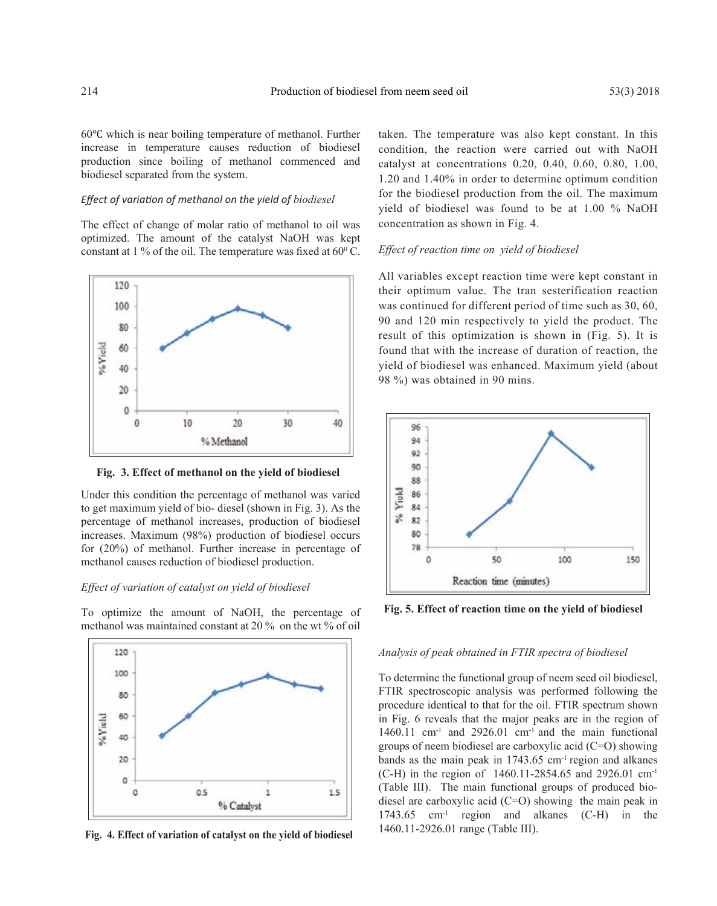60℃ which is near boiling temperature of methanol. Further increase in temperature causes reduction of biodiesel production since boiling of methanol commenced and biodiesel separated from the system.

# *Effect of variation of methanol on the yield of biodiesel*

The effect of change of molar ratio of methanol to oil was optimized. The amount of the catalyst NaOH was kept constant at 1 % of the oil. The temperature was fixed at  $60^{\circ}$  C.



**Fig. 3. Effect of methanol on the yield of biodiesel**

Under this condition the percentage of methanol was varied to get maximum yield of bio- diesel (shown in Fig. 3). As the percentage of methanol increases, production of biodiesel increases. Maximum (98%) production of biodiesel occurs for (20%) of methanol. Further increase in percentage of methanol causes reduction of biodiesel production.

# *Effect of variation of catalyst on yield of biodiesel*

To optimize the amount of NaOH, the percentage of methanol was maintained constant at 20 % on the wt % of oil



**Fig. 4. Effect of variation of catalyst on the yield of biodiesel**

taken. The temperature was also kept constant. In this condition, the reaction were carried out with NaOH catalyst at concentrations 0.20, 0.40, 0.60, 0.80, 1.00, 1.20 and 1.40% in order to determine optimum condition for the biodiesel production from the oil. The maximum yield of biodiesel was found to be at 1.00 % NaOH concentration as shown in Fig. 4.

#### *Effect of reaction time on yield of biodiesel*

All variables except reaction time were kept constant in their optimum value. The tran sesterification reaction was continued for different period of time such as 30, 60, 90 and 120 min respectively to yield the product. The result of this optimization is shown in (Fig. 5). It is found that with the increase of duration of reaction, the yield of biodiesel was enhanced. Maximum yield (about 98 %) was obtained in 90 mins.



**Fig. 5. Effect of reaction time on the yield of biodiesel**

# *Analysis of peak obtained in FTIR spectra of biodiesel*

To determine the functional group of neem seed oil biodiesel, FTIR spectroscopic analysis was performed following the procedure identical to that for the oil. FTIR spectrum shown in Fig. 6 reveals that the major peaks are in the region of 1460.11 cm<sup>-1</sup> and 2926.01 cm<sup>-1</sup> and the main functional groups of neem biodiesel are carboxylic acid (C=O) showing bands as the main peak in  $1743.65$  cm<sup>-1</sup> region and alkanes (C-H) in the region of 1460.11-2854.65 and 2926.01 cm-1 (Table III). The main functional groups of produced biodiesel are carboxylic acid (C=O) showing the main peak in 1743.65 cm-1 region and alkanes (C-H) in the 1460.11-2926.01 range (Table III).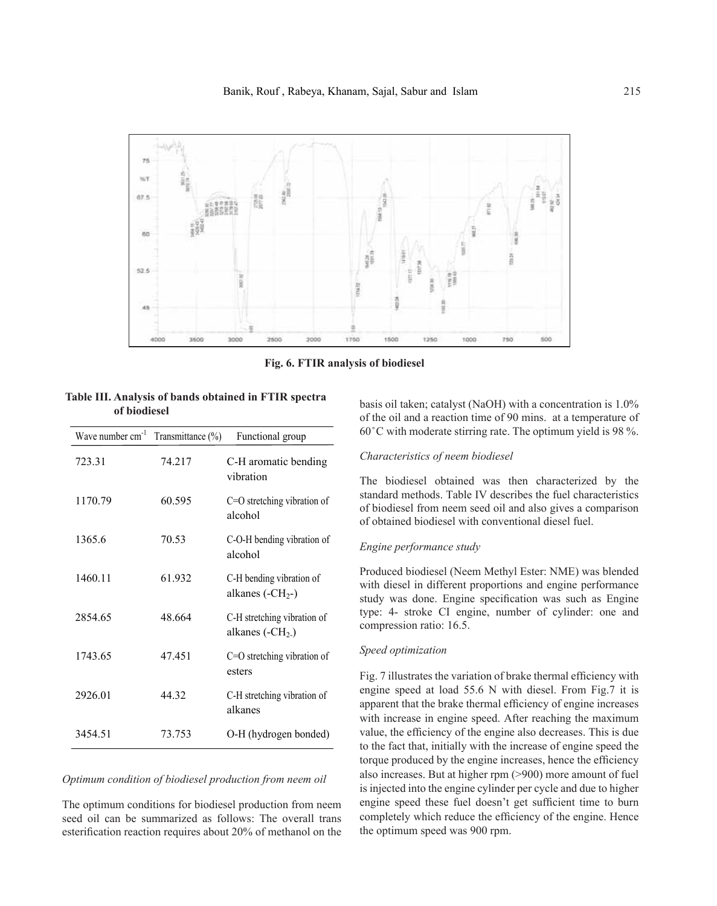

**Fig. 6. FTIR analysis of biodiesel**

| Table III. Analysis of bands obtained in FTIR spectra |  |  |  |
|-------------------------------------------------------|--|--|--|
| of biodiesel                                          |  |  |  |

| Wave number cm <sup>-1</sup> | Transmittance (%) | Functional group                                |
|------------------------------|-------------------|-------------------------------------------------|
| 723.31                       | 74.217            | C-H aromatic bending<br>vibration               |
| 1170.79                      | 60.595            | $C=O$ stretching vibration of<br>alcohol        |
| 1365.6                       | 70.53             | C-O-H bending vibration of<br>alcohol           |
| 1460.11                      | 61.932            | C-H bending vibration of<br>alkanes $(-CH2-)$   |
| 2854.65                      | 48.664            | C-H stretching vibration of<br>alkanes $(-CH2)$ |
| 1743.65                      | 47.451            | $C=O$ stretching vibration of<br>esters         |
| 2926.01                      | 44.32             | C-H stretching vibration of<br>alkanes          |
| 3454.51                      | 73.753            | O-H (hydrogen bonded)                           |

# *Optimum condition of biodiesel production from neem oil*

The optimum conditions for biodiesel production from neem seed oil can be summarized as follows: The overall trans esterification reaction requires about 20% of methanol on the

basis oil taken; catalyst (NaOH) with a concentration is 1.0% of the oil and a reaction time of 90 mins. at a temperature of  $60^{\circ}$ C with moderate stirring rate. The optimum yield is 98 %.

## *Characteristics of neem biodiesel*

The biodiesel obtained was then characterized by the standard methods. Table IV describes the fuel characteristics of biodiesel from neem seed oil and also gives a comparison of obtained biodiesel with conventional diesel fuel.

## *Engine performance study*

Produced biodiesel (Neem Methyl Ester: NME) was blended with diesel in different proportions and engine performance study was done. Engine specification was such as Engine type: 4- stroke CI engine, number of cylinder: one and compression ratio: 16.5.

# *Speed optimization*

Fig. 7 illustrates the variation of brake thermal efficiency with engine speed at load 55.6 N with diesel. From Fig.7 it is apparent that the brake thermal efficiency of engine increases with increase in engine speed. After reaching the maximum value, the efficiency of the engine also decreases. This is due to the fact that, initially with the increase of engine speed the torque produced by the engine increases, hence the efficiency also increases. But at higher rpm (>900) more amount of fuel is injected into the engine cylinder per cycle and due to higher engine speed these fuel doesn't get sufficient time to burn completely which reduce the efficiency of the engine. Hence the optimum speed was 900 rpm.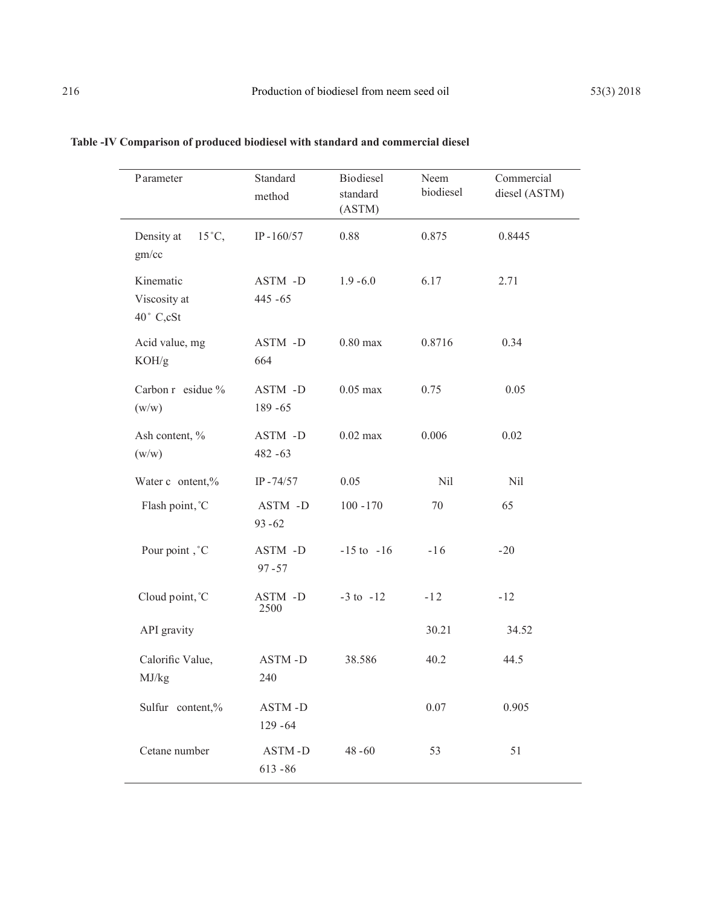| Parameter                              | Standard<br>method    | Biodiesel<br>standard<br>(ASTM) | Neem<br>biodiesel | Commercial<br>diesel (ASTM) |
|----------------------------------------|-----------------------|---------------------------------|-------------------|-----------------------------|
| Density at<br>$15^{\circ}C$ ,<br>gm/cc | IP-160/57             | 0.88                            | 0.875             | 0.8445                      |
| Kinematic<br>Viscosity at<br>40° C,cSt | ASTM -D<br>$445 - 65$ | $1.9 - 6.0$                     | 6.17              | 2.71                        |
| Acid value, mg<br>KOH/g                | ASTM -D<br>664        | $0.80$ max                      | 0.8716            | 0.34                        |
| Carbon r esidue %<br>(w/w)             | ASTM -D<br>189 - 65   | $0.05$ max                      | 0.75              | 0.05                        |
| Ash content, %<br>(w/w)                | ASTM -D<br>$482 - 63$ | $0.02$ max                      | 0.006             | 0.02                        |
| Water c ontent,%                       | $IP - 74/57$          | 0.05                            | Nil               | Nil                         |
| Flash point, °C                        | ASTM -D<br>$93 - 62$  | $100 - 170$                     | 70                | 65                          |
| Pour point, °C                         | ASTM -D<br>$97 - 57$  | $-15$ to $-16$                  | $-16$             | $-20$                       |
| Cloud point, °C                        | ASTM -D<br>2500       | $-3$ to $-12$                   | $-12$             | $-12$                       |
| API gravity                            |                       |                                 | 30.21             | 34.52                       |
| Calorific Value,<br>MJ/kg              | ASTM-D<br>240         | 38.586                          | 40.2              | 44.5                        |
| Sulfur content,%                       | ASTM-D<br>129 - 64    |                                 | 0.07              | 0.905                       |
| Cetane number                          | ASTM-D<br>$613 - 86$  | $48 - 60$                       | 53                | 51                          |

# **Table -IV Comparison of produced biodiesel with standard and commercial diesel**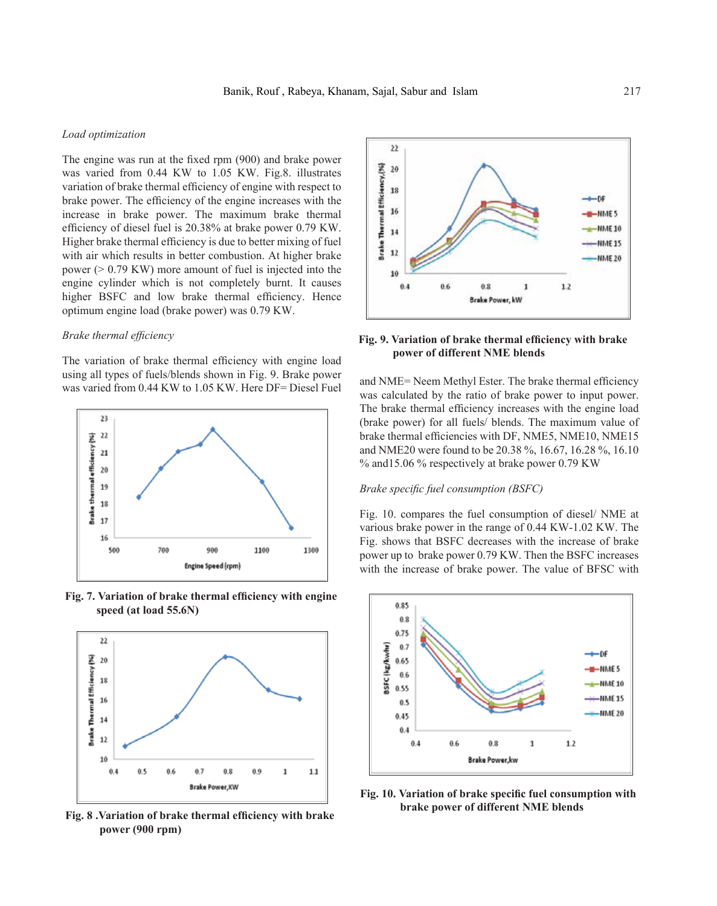# *Load optimization*

The engine was run at the fixed rpm (900) and brake power was varied from 0.44 KW to 1.05 KW. Fig.8. illustrates variation of brake thermal efficiency of engine with respect to brake power. The efficiency of the engine increases with the increase in brake power. The maximum brake thermal efficiency of diesel fuel is 20.38% at brake power 0.79 KW. Higher brake thermal efficiency is due to better mixing of fuel with air which results in better combustion. At higher brake power (> 0.79 KW) more amount of fuel is injected into the engine cylinder which is not completely burnt. It causes higher BSFC and low brake thermal efficiency. Hence optimum engine load (brake power) was 0.79 KW.

## *Brake thermal efficiency*

The variation of brake thermal efficiency with engine load using all types of fuels/blends shown in Fig. 9. Brake power was varied from 0.44 KW to 1.05 KW. Here DF= Diesel Fuel and NME= Neem Methyl Ester. The brake thermal efficiency



**Fig. 7. Variation of brake thermal efficiency with engine speed (at load 55.6N)**



**Fig. 8 .Variation of brake thermal efficiency with brake power (900 rpm)**



# **Fig. 9. Variation of brake thermal efficiency with brake power of different NME blends**

was calculated by the ratio of brake power to input power. The brake thermal efficiency increases with the engine load (brake power) for all fuels/ blends. The maximum value of brake thermal efficiencies with DF, NME5, NME10, NME15 and NME20 were found to be 20.38 %, 16.67, 16.28 %, 16.10 % and15.06 % respectively at brake power 0.79 KW

# *Brake specific fuel consumption (BSFC)*

Fig. 10. compares the fuel consumption of diesel/ NME at various brake power in the range of 0.44 KW-1.02 KW. The Fig. shows that BSFC decreases with the increase of brake power up to brake power 0.79 KW. Then the BSFC increases with the increase of brake power. The value of BFSC with



**Fig. 10. Variation of brake specific fuel consumption with brake power of different NME blends**